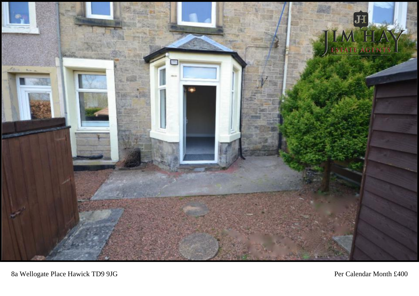

8a Wellogate Place Hawick TD9 9JG

Per Calendar Month £400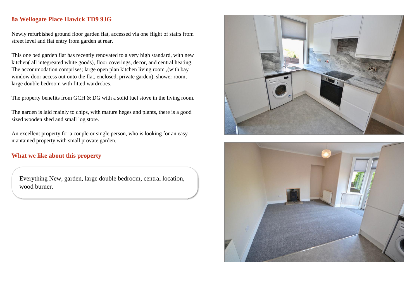## **8a Wellogate Place Hawick TD9 9JG**

Newly refurbished ground floor garden flat, accessed via one flight of stairs from street level and flat entry from garden at rear.

This one bed garden flat has recently renovated to a very high standard, with new kitchen( all integreated white goods), floor coverings, decor, and central heating. The accommodation comprises; large open plan kitchen living room ,(with bay window door access out onto the flat, enclosed, private garden), shower room, large double bedroom with fitted wardrobes.

The property benefits from GCH & DG with a solid fuel stove in the living room.

The garden is laid mainly to chips, with mature heges and plants, there is a good sized wooden shed and small log store.

An excellent property for a couple or single person, who is looking for an easy niantained property with small provate garden.

## **What we like about this property**

Everything New, garden, large double bedroom, central location, wood burner.



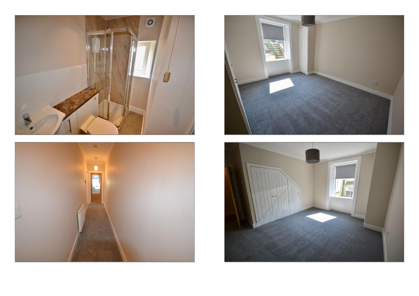